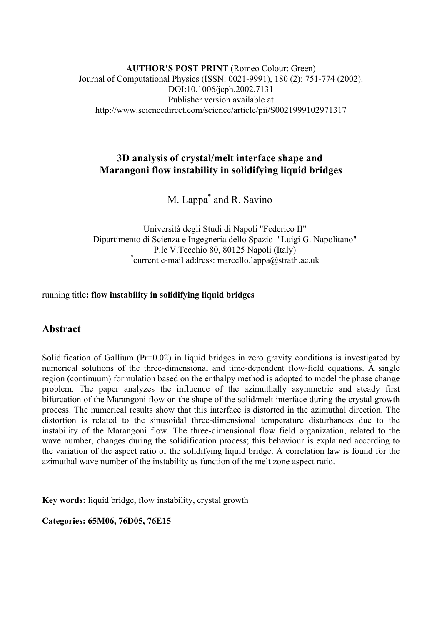**AUTHOR'S POST PRINT** (Romeo Colour: Green) Journal of Computational Physics (ISSN: 0021-9991), 180 (2): 751-774 (2002). DOI:10.1006/jcph.2002.7131 Publisher version available at http://www.sciencedirect.com/science/article/pii/S0021999102971317

# **3D analysis of crystal/melt interface shape and Marangoni flow instability in solidifying liquid bridges**

M. Lappa<sup>\*</sup> and R. Savino

Università degli Studi di Napoli "Federico II" Dipartimento di Scienza e Ingegneria dello Spazio "Luigi G. Napolitano" P.le V.Tecchio 80, 80125 Napoli (Italy) \* current e-mail address: marcello.lappa@strath.ac.uk

running title**: flow instability in solidifying liquid bridges** 

# **Abstract**

Solidification of Gallium (Pr=0.02) in liquid bridges in zero gravity conditions is investigated by numerical solutions of the three-dimensional and time-dependent flow-field equations. A single region (continuum) formulation based on the enthalpy method is adopted to model the phase change problem. The paper analyzes the influence of the azimuthally asymmetric and steady first bifurcation of the Marangoni flow on the shape of the solid/melt interface during the crystal growth process. The numerical results show that this interface is distorted in the azimuthal direction. The distortion is related to the sinusoidal three-dimensional temperature disturbances due to the instability of the Marangoni flow. The three-dimensional flow field organization, related to the wave number, changes during the solidification process; this behaviour is explained according to the variation of the aspect ratio of the solidifying liquid bridge. A correlation law is found for the azimuthal wave number of the instability as function of the melt zone aspect ratio.

**Key words:** liquid bridge, flow instability, crystal growth

**Categories: 65M06, 76D05, 76E15**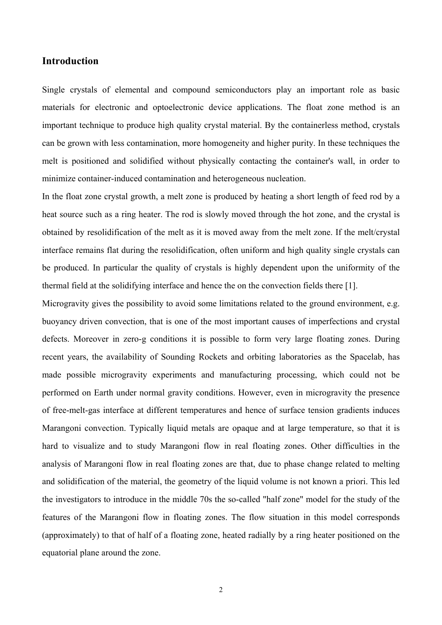### **Introduction**

Single crystals of elemental and compound semiconductors play an important role as basic materials for electronic and optoelectronic device applications. The float zone method is an important technique to produce high quality crystal material. By the containerless method, crystals can be grown with less contamination, more homogeneity and higher purity. In these techniques the melt is positioned and solidified without physically contacting the container's wall, in order to minimize container-induced contamination and heterogeneous nucleation.

In the float zone crystal growth, a melt zone is produced by heating a short length of feed rod by a heat source such as a ring heater. The rod is slowly moved through the hot zone, and the crystal is obtained by resolidification of the melt as it is moved away from the melt zone. If the melt/crystal interface remains flat during the resolidification, often uniform and high quality single crystals can be produced. In particular the quality of crystals is highly dependent upon the uniformity of the thermal field at the solidifying interface and hence the on the convection fields there [1].

Microgravity gives the possibility to avoid some limitations related to the ground environment, e.g. buoyancy driven convection, that is one of the most important causes of imperfections and crystal defects. Moreover in zero-g conditions it is possible to form very large floating zones. During recent years, the availability of Sounding Rockets and orbiting laboratories as the Spacelab, has made possible microgravity experiments and manufacturing processing, which could not be performed on Earth under normal gravity conditions. However, even in microgravity the presence of free-melt-gas interface at different temperatures and hence of surface tension gradients induces Marangoni convection. Typically liquid metals are opaque and at large temperature, so that it is hard to visualize and to study Marangoni flow in real floating zones. Other difficulties in the analysis of Marangoni flow in real floating zones are that, due to phase change related to melting and solidification of the material, the geometry of the liquid volume is not known a priori. This led the investigators to introduce in the middle 70s the so-called "half zone" model for the study of the features of the Marangoni flow in floating zones. The flow situation in this model corresponds (approximately) to that of half of a floating zone, heated radially by a ring heater positioned on the equatorial plane around the zone.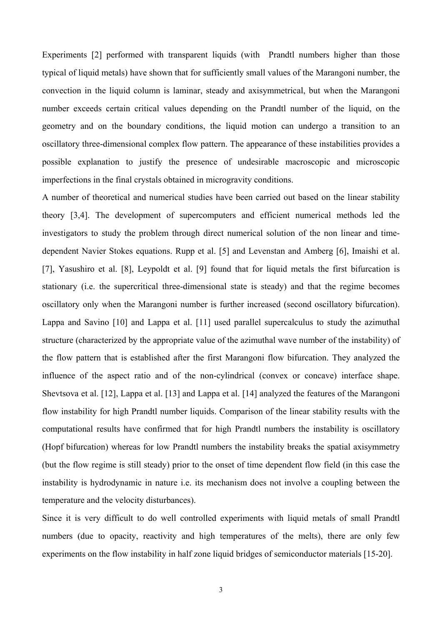Experiments [2] performed with transparent liquids (with Prandtl numbers higher than those typical of liquid metals) have shown that for sufficiently small values of the Marangoni number, the convection in the liquid column is laminar, steady and axisymmetrical, but when the Marangoni number exceeds certain critical values depending on the Prandtl number of the liquid, on the geometry and on the boundary conditions, the liquid motion can undergo a transition to an oscillatory three-dimensional complex flow pattern. The appearance of these instabilities provides a possible explanation to justify the presence of undesirable macroscopic and microscopic imperfections in the final crystals obtained in microgravity conditions.

A number of theoretical and numerical studies have been carried out based on the linear stability theory [3,4]. The development of supercomputers and efficient numerical methods led the investigators to study the problem through direct numerical solution of the non linear and timedependent Navier Stokes equations. Rupp et al. [5] and Levenstan and Amberg [6], Imaishi et al. [7], Yasushiro et al. [8], Leypoldt et al. [9] found that for liquid metals the first bifurcation is stationary (i.e. the supercritical three-dimensional state is steady) and that the regime becomes oscillatory only when the Marangoni number is further increased (second oscillatory bifurcation). Lappa and Savino [10] and Lappa et al. [11] used parallel supercalculus to study the azimuthal structure (characterized by the appropriate value of the azimuthal wave number of the instability) of the flow pattern that is established after the first Marangoni flow bifurcation. They analyzed the influence of the aspect ratio and of the non-cylindrical (convex or concave) interface shape. Shevtsova et al. [12], Lappa et al. [13] and Lappa et al. [14] analyzed the features of the Marangoni flow instability for high Prandtl number liquids. Comparison of the linear stability results with the computational results have confirmed that for high Prandtl numbers the instability is oscillatory (Hopf bifurcation) whereas for low Prandtl numbers the instability breaks the spatial axisymmetry (but the flow regime is still steady) prior to the onset of time dependent flow field (in this case the instability is hydrodynamic in nature i.e. its mechanism does not involve a coupling between the temperature and the velocity disturbances).

Since it is very difficult to do well controlled experiments with liquid metals of small Prandtl numbers (due to opacity, reactivity and high temperatures of the melts), there are only few experiments on the flow instability in half zone liquid bridges of semiconductor materials [15-20].

3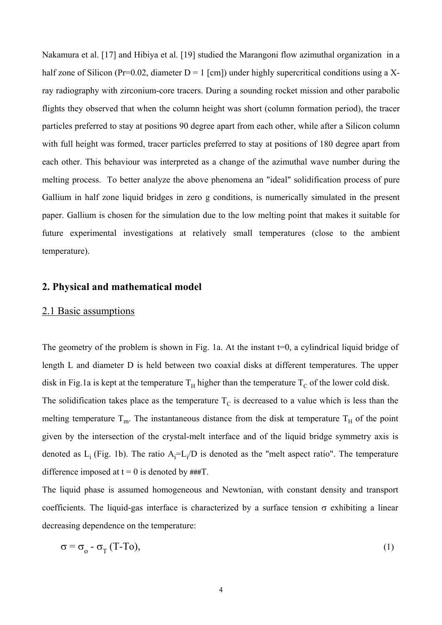Nakamura et al. [17] and Hibiya et al. [19] studied the Marangoni flow azimuthal organization in a half zone of Silicon (Pr=0.02, diameter  $D = 1$  [cm]) under highly supercritical conditions using a Xray radiography with zirconium-core tracers. During a sounding rocket mission and other parabolic flights they observed that when the column height was short (column formation period), the tracer particles preferred to stay at positions 90 degree apart from each other, while after a Silicon column with full height was formed, tracer particles preferred to stay at positions of 180 degree apart from each other. This behaviour was interpreted as a change of the azimuthal wave number during the melting process. To better analyze the above phenomena an "ideal" solidification process of pure Gallium in half zone liquid bridges in zero g conditions, is numerically simulated in the present paper. Gallium is chosen for the simulation due to the low melting point that makes it suitable for future experimental investigations at relatively small temperatures (close to the ambient temperature).

### **2. Physical and mathematical model**

#### 2.1 Basic assumptions

The geometry of the problem is shown in Fig. 1a. At the instant  $t=0$ , a cylindrical liquid bridge of length L and diameter D is held between two coaxial disks at different temperatures. The upper disk in Fig.1a is kept at the temperature  $T_H$  higher than the temperature  $T_C$  of the lower cold disk. The solidification takes place as the temperature  $T_c$  is decreased to a value which is less than the melting temperature  $T_m$ . The instantaneous distance from the disk at temperature  $T_H$  of the point given by the intersection of the crystal-melt interface and of the liquid bridge symmetry axis is denoted as  $L_i$  (Fig. 1b). The ratio  $A_i = L_i/D$  is denoted as the "melt aspect ratio". The temperature difference imposed at  $t = 0$  is denoted by  $\# \# T$ .

The liquid phase is assumed homogeneous and Newtonian, with constant density and transport coefficients. The liquid-gas interface is characterized by a surface tension  $\sigma$  exhibiting a linear decreasing dependence on the temperature:

$$
\sigma = \sigma_{0} - \sigma_{T} (T - T0), \tag{1}
$$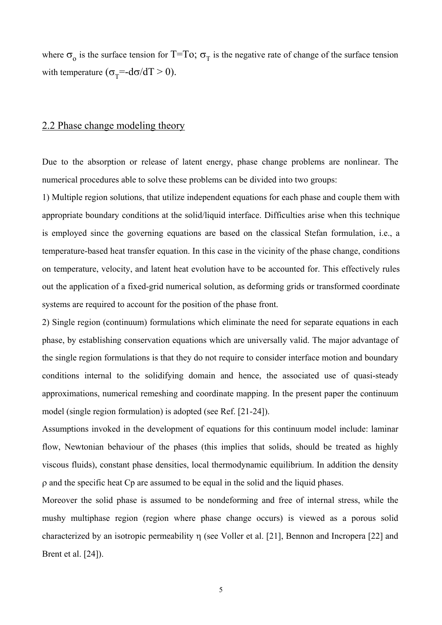where  $\sigma_0$  is the surface tension for T=To;  $\sigma_T$  is the negative rate of change of the surface tension with temperature  $(\sigma_{\tau} = -d\sigma/dT > 0)$ .

## 2.2 Phase change modeling theory

Due to the absorption or release of latent energy, phase change problems are nonlinear. The numerical procedures able to solve these problems can be divided into two groups:

1) Multiple region solutions, that utilize independent equations for each phase and couple them with appropriate boundary conditions at the solid/liquid interface. Difficulties arise when this technique is employed since the governing equations are based on the classical Stefan formulation, i.e., a temperature-based heat transfer equation. In this case in the vicinity of the phase change, conditions on temperature, velocity, and latent heat evolution have to be accounted for. This effectively rules out the application of a fixed-grid numerical solution, as deforming grids or transformed coordinate systems are required to account for the position of the phase front.

2) Single region (continuum) formulations which eliminate the need for separate equations in each phase, by establishing conservation equations which are universally valid. The major advantage of the single region formulations is that they do not require to consider interface motion and boundary conditions internal to the solidifying domain and hence, the associated use of quasi-steady approximations, numerical remeshing and coordinate mapping. In the present paper the continuum model (single region formulation) is adopted (see Ref. [21-24]).

Assumptions invoked in the development of equations for this continuum model include: laminar flow, Newtonian behaviour of the phases (this implies that solids, should be treated as highly viscous fluids), constant phase densities, local thermodynamic equilibrium. In addition the density and the specific heat Cp are assumed to be equal in the solid and the liquid phases.

Moreover the solid phase is assumed to be nondeforming and free of internal stress, while the mushy multiphase region (region where phase change occurs) is viewed as a porous solid characterized by an isotropic permeability (see Voller et al. [21], Bennon and Incropera [22] and Brent et al. [24]).

5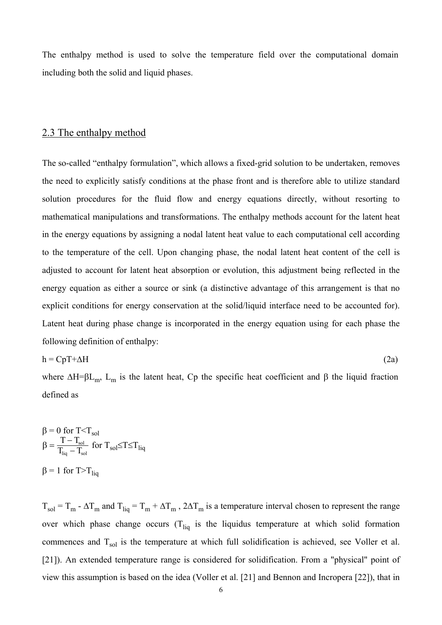The enthalpy method is used to solve the temperature field over the computational domain including both the solid and liquid phases.

### 2.3 The enthalpy method

The so-called "enthalpy formulation", which allows a fixed-grid solution to be undertaken, removes the need to explicitly satisfy conditions at the phase front and is therefore able to utilize standard solution procedures for the fluid flow and energy equations directly, without resorting to mathematical manipulations and transformations. The enthalpy methods account for the latent heat in the energy equations by assigning a nodal latent heat value to each computational cell according to the temperature of the cell. Upon changing phase, the nodal latent heat content of the cell is adjusted to account for latent heat absorption or evolution, this adjustment being reflected in the energy equation as either a source or sink (a distinctive advantage of this arrangement is that no explicit conditions for energy conservation at the solid/liquid interface need to be accounted for). Latent heat during phase change is incorporated in the energy equation using for each phase the following definition of enthalpy:

$$
h = CpT + \Delta H \tag{2a}
$$

where  $\Delta H = \beta L_m$ ,  $L_m$  is the latent heat, Cp the specific heat coefficient and  $\beta$  the liquid fraction defined as

$$
\beta = 0 \text{ for } T < T_{sol}
$$
  
\n
$$
\beta = \frac{T - T_{sol}}{T_{liq} - T_{sol}} \text{ for } T_{sol} \le T \le T_{liq}
$$
  
\n
$$
\beta = 1 \text{ for } T > T_{liq}
$$

 $T_{sol} = T_m - \Delta T_m$  and  $T_{liq} = T_m + \Delta T_m$ ,  $2\Delta T_m$  is a temperature interval chosen to represent the range over which phase change occurs  $(T_{liq}$  is the liquidus temperature at which solid formation commences and  $T_{sol}$  is the temperature at which full solidification is achieved, see Voller et al. [21]). An extended temperature range is considered for solidification. From a "physical" point of view this assumption is based on the idea (Voller et al. [21] and Bennon and Incropera [22]), that in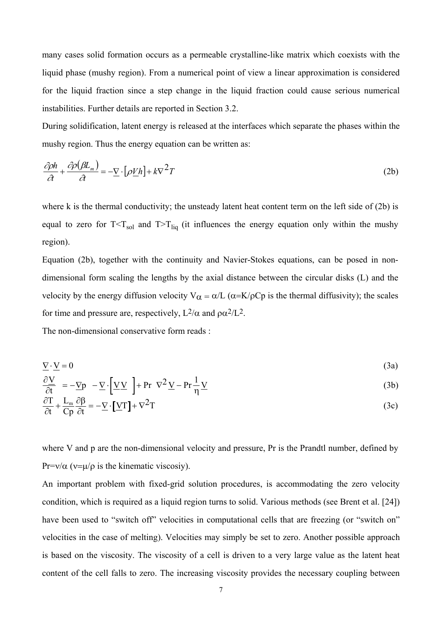many cases solid formation occurs as a permeable crystalline-like matrix which coexists with the liquid phase (mushy region). From a numerical point of view a linear approximation is considered for the liquid fraction since a step change in the liquid fraction could cause serious numerical instabilities. Further details are reported in Section 3.2.

During solidification, latent energy is released at the interfaces which separate the phases within the mushy region. Thus the energy equation can be written as:

$$
\frac{\partial \rho h}{\partial t} + \frac{\partial \rho (\beta L_m)}{\partial t} = -\underline{\nabla} \cdot [\rho \underline{V} h] + k \nabla^2 T \tag{2b}
$$

where k is the thermal conductivity; the unsteady latent heat content term on the left side of (2b) is equal to zero for  $T < T<sub>sol</sub>$  and  $T > T<sub>liq</sub>$  (it influences the energy equation only within the mushy region).

Equation (2b), together with the continuity and Navier-Stokes equations, can be posed in nondimensional form scaling the lengths by the axial distance between the circular disks (L) and the velocity by the energy diffusion velocity  $V_{\alpha} = \alpha/L$  ( $\alpha = K/\rho Cp$  is the thermal diffusivity); the scales for time and pressure are, respectively,  $L^2/\alpha$  and  $\rho \alpha^2/L^2$ .

The non-dimensional conservative form reads :

$$
\underline{\nabla} \cdot \underline{\mathbf{V}} = 0 \tag{3a}
$$

$$
\frac{\partial V}{\partial t} = -\nabla p - \nabla \cdot \left[ \underline{V} \underline{V} \right] + \Pr \nabla^2 \underline{V} - \Pr \frac{1}{\eta} \underline{V}
$$
\n(3b)

$$
\frac{\partial T}{\partial t} + \frac{L_m}{Cp} \frac{\partial \beta}{\partial t} = -\underline{\nabla} \cdot [\underline{\nabla} T] + \nabla^2 T \tag{3c}
$$

where V and p are the non-dimensional velocity and pressure, Pr is the Prandtl number, defined by Pr= $v/\alpha$  ( $v=\mu/\rho$  is the kinematic viscosiy).

An important problem with fixed-grid solution procedures, is accommodating the zero velocity condition, which is required as a liquid region turns to solid. Various methods (see Brent et al. [24]) have been used to "switch off" velocities in computational cells that are freezing (or "switch on" velocities in the case of melting). Velocities may simply be set to zero. Another possible approach is based on the viscosity. The viscosity of a cell is driven to a very large value as the latent heat content of the cell falls to zero. The increasing viscosity provides the necessary coupling between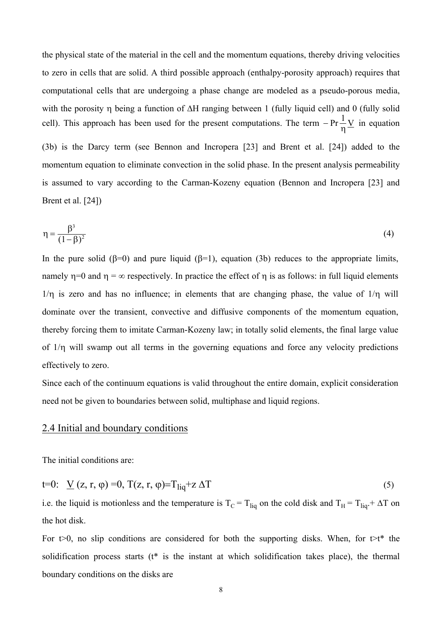the physical state of the material in the cell and the momentum equations, thereby driving velocities to zero in cells that are solid. A third possible approach (enthalpy-porosity approach) requires that computational cells that are undergoing a phase change are modeled as a pseudo-porous media, with the porosity  $\eta$  being a function of  $\Delta H$  ranging between 1 (fully liquid cell) and 0 (fully solid cell). This approach has been used for the present computations. The term  $-Pr\frac{1}{\eta}\frac{V}{\eta}$  in equation

(3b) is the Darcy term (see Bennon and Incropera [23] and Brent et al. [24]) added to the momentum equation to eliminate convection in the solid phase. In the present analysis permeability is assumed to vary according to the Carman-Kozeny equation (Bennon and Incropera [23] and Brent et al. [24])

$$
\eta = \frac{\beta^3}{(1 - \beta)^2} \tag{4}
$$

In the pure solid ( $\beta=0$ ) and pure liquid ( $\beta=1$ ), equation (3b) reduces to the appropriate limits, namely  $\eta = 0$  and  $\eta = \infty$  respectively. In practice the effect of  $\eta$  is as follows: in full liquid elements  $1/\eta$  is zero and has no influence; in elements that are changing phase, the value of  $1/\eta$  will dominate over the transient, convective and diffusive components of the momentum equation, thereby forcing them to imitate Carman-Kozeny law; in totally solid elements, the final large value of  $1/\eta$  will swamp out all terms in the governing equations and force any velocity predictions effectively to zero.

Since each of the continuum equations is valid throughout the entire domain, explicit consideration need not be given to boundaries between solid, multiphase and liquid regions.

## 2.4 Initial and boundary conditions

The initial conditions are:

$$
t=0: \underline{V}(z, r, \varphi) = 0, T(z, r, \varphi) = T_{liq} + z \Delta T
$$
\n
$$
(5)
$$

i.e. the liquid is motionless and the temperature is  $T_C = T_{liq}$  on the cold disk and  $T_H = T_{liq} + \Delta T$  on the hot disk.

For  $t>0$ , no slip conditions are considered for both the supporting disks. When, for  $t>t^*$  the solidification process starts (t\* is the instant at which solidification takes place), the thermal boundary conditions on the disks are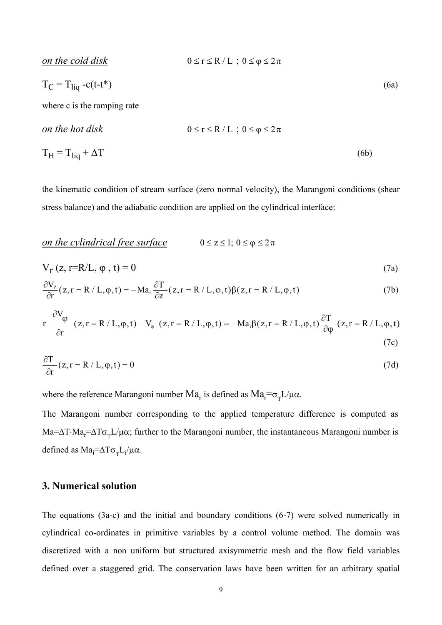| on the cold disk                     | $0 \le r \le R/L$ ; $0 \le \varphi \le 2\pi$ |      |
|--------------------------------------|----------------------------------------------|------|
| $T_C = T_{liq} - c(t-t^*)$           |                                              | (6a) |
| and have a to the measure to a mater |                                              |      |

where c is the ramping rate

on the hot disk  
\n
$$
0 \le r \le R/L
$$
;  $0 \le \varphi \le 2\pi$   
\n $T_H = T_{liq} + \Delta T$  (6b)

the kinematic condition of stream surface (zero normal velocity), the Marangoni conditions (shear stress balance) and the adiabatic condition are applied on the cylindrical interface:

On the cylindrical free surface

\n
$$
0 \le z \le 1; \quad 0 \le \varphi \le 2\pi
$$
\n
$$
V_{\mathbf{r}}(z, \mathbf{r} = \mathbf{R}/\mathbf{L}, \varphi, \mathbf{t}) = 0
$$
\n
$$
\frac{\partial V_{z}}{\partial \mathbf{r}}(z, \mathbf{r} = \mathbf{R}/\mathbf{L}, \varphi, \mathbf{t}) = -\mathbf{M} \mathbf{a}_{\mathbf{r}} \frac{\partial T}{\partial z}(z, \mathbf{r} = \mathbf{R}/\mathbf{L}, \varphi, \mathbf{t}) \beta(z, \mathbf{r} = \mathbf{R}/\mathbf{L}, \varphi, \mathbf{t})
$$
\n
$$
\frac{\partial V_{\mathbf{a}}}{\partial \mathbf{r}}(z, \mathbf{r} = \mathbf{R}/\mathbf{L}, \varphi, \mathbf{t}) = -\mathbf{M} \mathbf{a}_{\mathbf{r}} \frac{\partial T}{\partial z}(z, \mathbf{r} = \mathbf{R}/\mathbf{L}, \varphi, \mathbf{t}) \beta(z, \mathbf{r} = \mathbf{R}/\mathbf{L}, \varphi, \mathbf{t})
$$
\n(7b)

$$
r \frac{\partial \mathbf{v}_{\phi}}{\partial r}(z, r = R/L, \varphi, t) - V_{\varphi}(z, r = R/L, \varphi, t) = -Ma_{r}\beta(z, r = R/L, \varphi, t)\frac{\partial T}{\partial \varphi}(z, r = R/L, \varphi, t)
$$
\n(7c)

$$
\frac{\partial T}{\partial r}(z, r = R / L, \varphi, t) = 0
$$
\n(7d)

where the reference Marangoni number  $Ma_r$  is defined as  $Ma_r = \sigma_T L / \mu \alpha$ .

The Marangoni number corresponding to the applied temperature difference is computed as Ma= $\Delta T \cdot Ma_r = \Delta T \sigma_T L / \mu \alpha$ ; further to the Marangoni number, the instantaneous Marangoni number is defined as  $Ma_i = \Delta T \sigma_{T} L_i / \mu \alpha$ .

# **3. Numerical solution**

The equations (3a-c) and the initial and boundary conditions (6-7) were solved numerically in cylindrical co-ordinates in primitive variables by a control volume method. The domain was discretized with a non uniform but structured axisymmetric mesh and the flow field variables defined over a staggered grid. The conservation laws have been written for an arbitrary spatial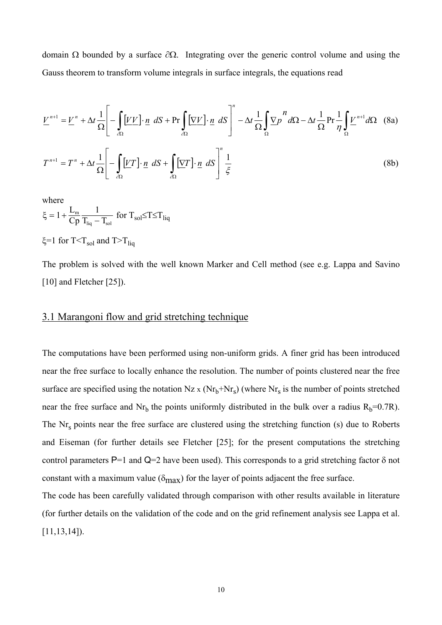domain  $\Omega$  bounded by a surface  $\partial\Omega$ . Integrating over the generic control volume and using the Gauss theorem to transform volume integrals in surface integrals, the equations read

$$
\underline{V}^{n+1} = \underline{V}^n + \Delta t \frac{1}{\Omega} \left[ -\int_{\Delta} [\underline{V} \underline{V}] \cdot \underline{n} \, dS + \Pr \int_{\Delta} [\underline{\nabla} \underline{V}] \cdot \underline{n} \, dS \right]^n - \Delta t \frac{1}{\Omega} \int_{\Omega} \nabla p^n d\Omega - \Delta t \frac{1}{\Omega} \Pr \frac{1}{\eta} \int_{\Omega} \underline{V}^{n+1} d\Omega \quad (8a)
$$
  

$$
T^{n+1} = T^n + \Delta t \frac{1}{\Omega} \left[ -\int_{\Delta} [\underline{V} T] \cdot \underline{n} \, dS + \int_{\Delta} [\underline{\nabla} T] \cdot \underline{n} \, dS \right]^n \frac{1}{\xi}
$$
 (8b)

where  $\xi = 1 + \frac{L_m}{Cp} \frac{1}{T_{liq} - T_s}$  $\frac{1}{\lambda_{\text{liq}} - T_{\text{sol}}}$  for  $T_{\text{sol}} \leq T \leq T_{\text{liq}}$ 

 $\xi$ =1 for T<T<sub>sol</sub> and T>T<sub>liq</sub>

The problem is solved with the well known Marker and Cell method (see e.g. Lappa and Savino [10] and Fletcher [25]).

# 3.1 Marangoni flow and grid stretching technique

The computations have been performed using non-uniform grids. A finer grid has been introduced near the free surface to locally enhance the resolution. The number of points clustered near the free surface are specified using the notation Nz x ( $Nr_b+Nr_s$ ) (where Nr<sub>s</sub> is the number of points stretched near the free surface and Nr<sub>b</sub> the points uniformly distributed in the bulk over a radius  $R_b=0.7R$ ). The  $N_r$  points near the free surface are clustered using the stretching function (s) due to Roberts and Eiseman (for further details see Fletcher [25]; for the present computations the stretching control parameters P=1 and Q=2 have been used). This corresponds to a grid stretching factor  $\delta$  not constant with a maximum value ( $\delta_{\text{max}}$ ) for the layer of points adjacent the free surface.

The code has been carefully validated through comparison with other results available in literature (for further details on the validation of the code and on the grid refinement analysis see Lappa et al. [11,13,14]).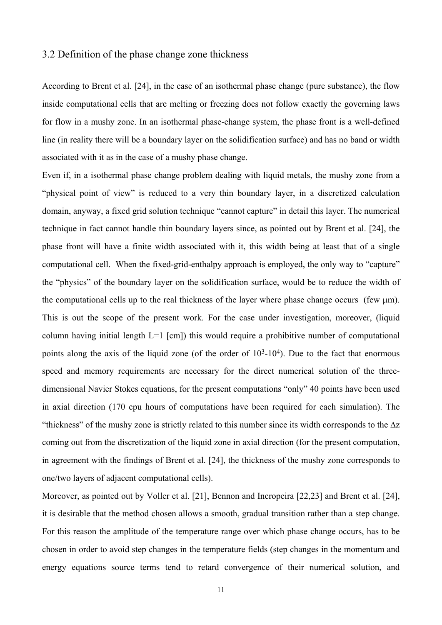## 3.2 Definition of the phase change zone thickness

According to Brent et al. [24], in the case of an isothermal phase change (pure substance), the flow inside computational cells that are melting or freezing does not follow exactly the governing laws for flow in a mushy zone. In an isothermal phase-change system, the phase front is a well-defined line (in reality there will be a boundary layer on the solidification surface) and has no band or width associated with it as in the case of a mushy phase change.

Even if, in a isothermal phase change problem dealing with liquid metals, the mushy zone from a "physical point of view" is reduced to a very thin boundary layer, in a discretized calculation domain, anyway, a fixed grid solution technique "cannot capture" in detail this layer. The numerical technique in fact cannot handle thin boundary layers since, as pointed out by Brent et al. [24], the phase front will have a finite width associated with it, this width being at least that of a single computational cell. When the fixed-grid-enthalpy approach is employed, the only way to "capture" the "physics" of the boundary layer on the solidification surface, would be to reduce the width of the computational cells up to the real thickness of the layer where phase change occurs (few  $\mu$ m). This is out the scope of the present work. For the case under investigation, moreover, (liquid column having initial length L=1 [cm]) this would require a prohibitive number of computational points along the axis of the liquid zone (of the order of  $10<sup>3</sup>$ -10<sup>4</sup>). Due to the fact that enormous speed and memory requirements are necessary for the direct numerical solution of the threedimensional Navier Stokes equations, for the present computations "only" 40 points have been used in axial direction (170 cpu hours of computations have been required for each simulation). The "thickness" of the mushy zone is strictly related to this number since its width corresponds to the  $\Delta z$ coming out from the discretization of the liquid zone in axial direction (for the present computation, in agreement with the findings of Brent et al. [24], the thickness of the mushy zone corresponds to one/two layers of adjacent computational cells).

Moreover, as pointed out by Voller et al. [21], Bennon and Incropeira [22,23] and Brent et al. [24], it is desirable that the method chosen allows a smooth, gradual transition rather than a step change. For this reason the amplitude of the temperature range over which phase change occurs, has to be chosen in order to avoid step changes in the temperature fields (step changes in the momentum and energy equations source terms tend to retard convergence of their numerical solution, and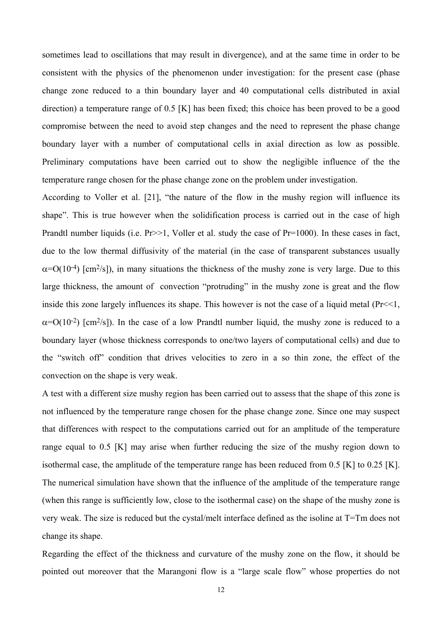sometimes lead to oscillations that may result in divergence), and at the same time in order to be consistent with the physics of the phenomenon under investigation: for the present case (phase change zone reduced to a thin boundary layer and 40 computational cells distributed in axial direction) a temperature range of 0.5 [K] has been fixed; this choice has been proved to be a good compromise between the need to avoid step changes and the need to represent the phase change boundary layer with a number of computational cells in axial direction as low as possible. Preliminary computations have been carried out to show the negligible influence of the the temperature range chosen for the phase change zone on the problem under investigation.

According to Voller et al. [21], "the nature of the flow in the mushy region will influence its shape". This is true however when the solidification process is carried out in the case of high Prandtl number liquids (i.e. Pr>>1, Voller et al. study the case of Pr=1000). In these cases in fact, due to the low thermal diffusivity of the material (in the case of transparent substances usually  $\alpha$ =O(10<sup>-4</sup>) [cm<sup>2</sup>/s]), in many situations the thickness of the mushy zone is very large. Due to this large thickness, the amount of convection "protruding" in the mushy zone is great and the flow inside this zone largely influences its shape. This however is not the case of a liquid metal (Pr<<1,  $\alpha$ =O(10<sup>-2</sup>) [cm<sup>2</sup>/s]). In the case of a low Prandtl number liquid, the mushy zone is reduced to a boundary layer (whose thickness corresponds to one/two layers of computational cells) and due to the "switch off" condition that drives velocities to zero in a so thin zone, the effect of the convection on the shape is very weak.

A test with a different size mushy region has been carried out to assess that the shape of this zone is not influenced by the temperature range chosen for the phase change zone. Since one may suspect that differences with respect to the computations carried out for an amplitude of the temperature range equal to 0.5 [K] may arise when further reducing the size of the mushy region down to isothermal case, the amplitude of the temperature range has been reduced from 0.5 [K] to 0.25 [K]. The numerical simulation have shown that the influence of the amplitude of the temperature range (when this range is sufficiently low, close to the isothermal case) on the shape of the mushy zone is very weak. The size is reduced but the cystal/melt interface defined as the isoline at T=Tm does not change its shape.

Regarding the effect of the thickness and curvature of the mushy zone on the flow, it should be pointed out moreover that the Marangoni flow is a "large scale flow" whose properties do not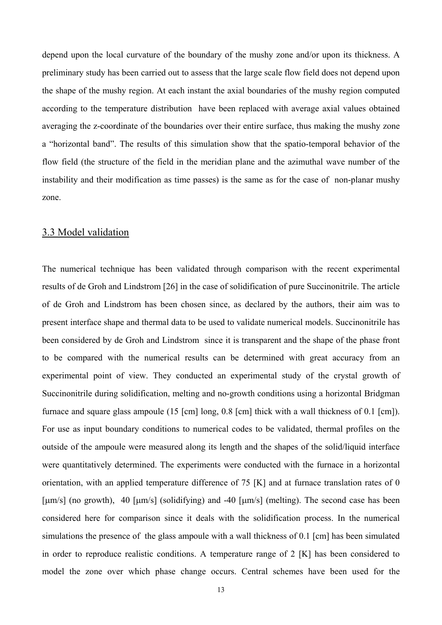depend upon the local curvature of the boundary of the mushy zone and/or upon its thickness. A preliminary study has been carried out to assess that the large scale flow field does not depend upon the shape of the mushy region. At each instant the axial boundaries of the mushy region computed according to the temperature distribution have been replaced with average axial values obtained averaging the z-coordinate of the boundaries over their entire surface, thus making the mushy zone a "horizontal band". The results of this simulation show that the spatio-temporal behavior of the flow field (the structure of the field in the meridian plane and the azimuthal wave number of the instability and their modification as time passes) is the same as for the case of non-planar mushy zone.

### 3.3 Model validation

The numerical technique has been validated through comparison with the recent experimental results of de Groh and Lindstrom [26] in the case of solidification of pure Succinonitrile. The article of de Groh and Lindstrom has been chosen since, as declared by the authors, their aim was to present interface shape and thermal data to be used to validate numerical models. Succinonitrile has been considered by de Groh and Lindstrom since it is transparent and the shape of the phase front to be compared with the numerical results can be determined with great accuracy from an experimental point of view. They conducted an experimental study of the crystal growth of Succinonitrile during solidification, melting and no-growth conditions using a horizontal Bridgman furnace and square glass ampoule (15 [cm] long, 0.8 [cm] thick with a wall thickness of 0.1 [cm]). For use as input boundary conditions to numerical codes to be validated, thermal profiles on the outside of the ampoule were measured along its length and the shapes of the solid/liquid interface were quantitatively determined. The experiments were conducted with the furnace in a horizontal orientation, with an applied temperature difference of 75 [K] and at furnace translation rates of 0  $\lceil \mu m/s \rceil$  (no growth), 40  $\lceil \mu m/s \rceil$  (solidifying) and -40  $\lceil \mu m/s \rceil$  (melting). The second case has been considered here for comparison since it deals with the solidification process. In the numerical simulations the presence of the glass ampoule with a wall thickness of 0.1 [cm] has been simulated in order to reproduce realistic conditions. A temperature range of 2 [K] has been considered to model the zone over which phase change occurs. Central schemes have been used for the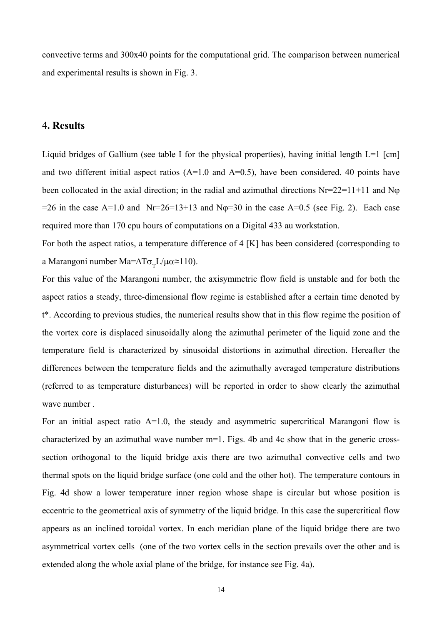convective terms and 300x40 points for the computational grid. The comparison between numerical and experimental results is shown in Fig. 3.

#### 4**. Results**

Liquid bridges of Gallium (see table I for the physical properties), having initial length L=1 [cm] and two different initial aspect ratios  $(A=1.0$  and  $A=0.5)$ , have been considered. 40 points have been collocated in the axial direction; in the radial and azimuthal directions  $Nr=22=11+11$  and  $N\varphi$  $=26$  in the case A=1.0 and Nr=26=13+13 and No=30 in the case A=0.5 (see Fig. 2). Each case required more than 170 cpu hours of computations on a Digital 433 au workstation.

For both the aspect ratios, a temperature difference of 4 [K] has been considered (corresponding to a Marangoni number Ma= $\Delta T \sigma_{\rm T} L / \mu \alpha \approx 110$ ).

For this value of the Marangoni number, the axisymmetric flow field is unstable and for both the aspect ratios a steady, three-dimensional flow regime is established after a certain time denoted by t\*. According to previous studies, the numerical results show that in this flow regime the position of the vortex core is displaced sinusoidally along the azimuthal perimeter of the liquid zone and the temperature field is characterized by sinusoidal distortions in azimuthal direction. Hereafter the differences between the temperature fields and the azimuthally averaged temperature distributions (referred to as temperature disturbances) will be reported in order to show clearly the azimuthal wave number .

For an initial aspect ratio A=1.0, the steady and asymmetric supercritical Marangoni flow is characterized by an azimuthal wave number m=1. Figs. 4b and 4c show that in the generic crosssection orthogonal to the liquid bridge axis there are two azimuthal convective cells and two thermal spots on the liquid bridge surface (one cold and the other hot). The temperature contours in Fig. 4d show a lower temperature inner region whose shape is circular but whose position is eccentric to the geometrical axis of symmetry of the liquid bridge. In this case the supercritical flow appears as an inclined toroidal vortex. In each meridian plane of the liquid bridge there are two asymmetrical vortex cells (one of the two vortex cells in the section prevails over the other and is extended along the whole axial plane of the bridge, for instance see Fig. 4a).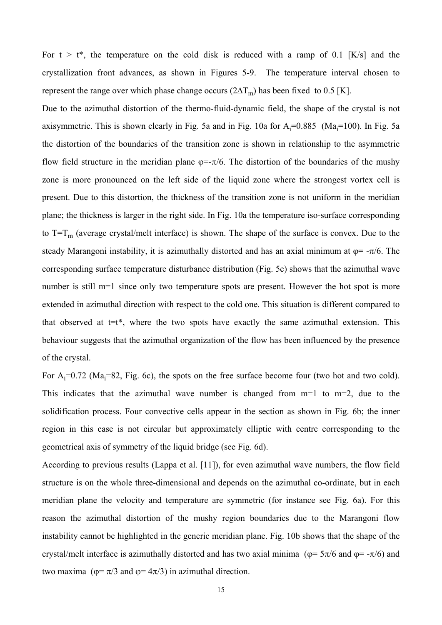For  $t > t^*$ , the temperature on the cold disk is reduced with a ramp of 0.1 [K/s] and the crystallization front advances, as shown in Figures 5-9. The temperature interval chosen to represent the range over which phase change occurs  $(2\Delta T_m)$  has been fixed to 0.5 [K].

Due to the azimuthal distortion of the thermo-fluid-dynamic field, the shape of the crystal is not axisymmetric. This is shown clearly in Fig. 5a and in Fig. 10a for  $A_i=0.885$  (Ma<sub>i</sub>=100). In Fig. 5a the distortion of the boundaries of the transition zone is shown in relationship to the asymmetric flow field structure in the meridian plane  $\varphi = -\pi/6$ . The distortion of the boundaries of the mushy zone is more pronounced on the left side of the liquid zone where the strongest vortex cell is present. Due to this distortion, the thickness of the transition zone is not uniform in the meridian plane; the thickness is larger in the right side. In Fig. 10a the temperature iso-surface corresponding to  $T=T_m$  (average crystal/melt interface) is shown. The shape of the surface is convex. Due to the steady Marangoni instability, it is azimuthally distorted and has an axial minimum at  $\varphi = -\pi/6$ . The corresponding surface temperature disturbance distribution (Fig. 5c) shows that the azimuthal wave number is still m=1 since only two temperature spots are present. However the hot spot is more extended in azimuthal direction with respect to the cold one. This situation is different compared to that observed at  $t=t^*$ , where the two spots have exactly the same azimuthal extension. This behaviour suggests that the azimuthal organization of the flow has been influenced by the presence of the crystal.

For  $A_i=0.72$  (Ma<sub>i</sub>=82, Fig. 6c), the spots on the free surface become four (two hot and two cold). This indicates that the azimuthal wave number is changed from  $m=1$  to  $m=2$ , due to the solidification process. Four convective cells appear in the section as shown in Fig. 6b; the inner region in this case is not circular but approximately elliptic with centre corresponding to the geometrical axis of symmetry of the liquid bridge (see Fig. 6d).

According to previous results (Lappa et al. [11]), for even azimuthal wave numbers, the flow field structure is on the whole three-dimensional and depends on the azimuthal co-ordinate, but in each meridian plane the velocity and temperature are symmetric (for instance see Fig. 6a). For this reason the azimuthal distortion of the mushy region boundaries due to the Marangoni flow instability cannot be highlighted in the generic meridian plane. Fig. 10b shows that the shape of the crystal/melt interface is azimuthally distorted and has two axial minima ( $\varphi$  = 5 $\pi$ /6 and  $\varphi$  = - $\pi$ /6) and two maxima ( $\varphi = \pi/3$  and  $\varphi = 4\pi/3$ ) in azimuthal direction.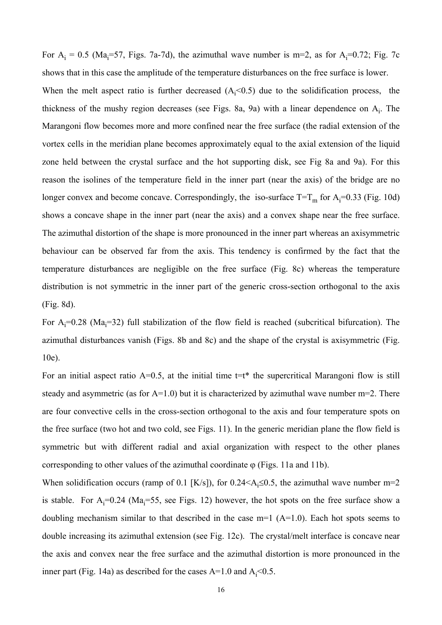For  $A_i = 0.5$  (Ma<sub>i</sub>=57, Figs. 7a-7d), the azimuthal wave number is m=2, as for  $A_i=0.72$ ; Fig. 7c shows that in this case the amplitude of the temperature disturbances on the free surface is lower. When the melt aspect ratio is further decreased  $(A<sub>i</sub>< 0.5)$  due to the solidification process, the thickness of the mushy region decreases (see Figs. 8a, 9a) with a linear dependence on  $A_i$ . The Marangoni flow becomes more and more confined near the free surface (the radial extension of the vortex cells in the meridian plane becomes approximately equal to the axial extension of the liquid zone held between the crystal surface and the hot supporting disk, see Fig 8a and 9a). For this reason the isolines of the temperature field in the inner part (near the axis) of the bridge are no longer convex and become concave. Correspondingly, the iso-surface  $T=T_m$  for  $A_i=0.33$  (Fig. 10d) shows a concave shape in the inner part (near the axis) and a convex shape near the free surface. The azimuthal distortion of the shape is more pronounced in the inner part whereas an axisymmetric behaviour can be observed far from the axis. This tendency is confirmed by the fact that the temperature disturbances are negligible on the free surface (Fig. 8c) whereas the temperature distribution is not symmetric in the inner part of the generic cross-section orthogonal to the axis (Fig. 8d).

For  $A_i=0.28$  (Ma<sub>i</sub>=32) full stabilization of the flow field is reached (subcritical bifurcation). The azimuthal disturbances vanish (Figs. 8b and 8c) and the shape of the crystal is axisymmetric (Fig. 10e).

For an initial aspect ratio  $A=0.5$ , at the initial time  $t=t^*$  the supercritical Marangoni flow is still steady and asymmetric (as for  $A=1.0$ ) but it is characterized by azimuthal wave number m=2. There are four convective cells in the cross-section orthogonal to the axis and four temperature spots on the free surface (two hot and two cold, see Figs. 11). In the generic meridian plane the flow field is symmetric but with different radial and axial organization with respect to the other planes corresponding to other values of the azimuthal coordinate  $\varphi$  (Figs. 11a and 11b).

When solidification occurs (ramp of 0.1 [K/s]), for 0.24 <  $A<sub>i</sub> \le 0.5$ , the azimuthal wave number m=2 is stable. For  $A_i=0.24$  (Ma<sub>i</sub>=55, see Figs. 12) however, the hot spots on the free surface show a doubling mechanism similar to that described in the case  $m=1$  (A=1.0). Each hot spots seems to double increasing its azimuthal extension (see Fig. 12c). The crystal/melt interface is concave near the axis and convex near the free surface and the azimuthal distortion is more pronounced in the inner part (Fig. 14a) as described for the cases  $A=1.0$  and  $A<sub>i</sub><0.5$ .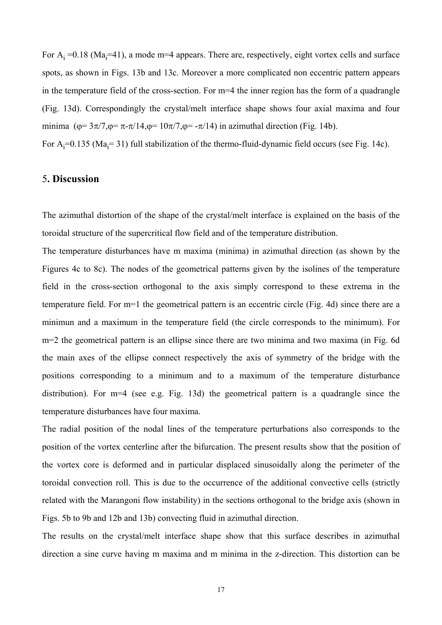For  $A_i = 0.18$  (Ma<sub>i</sub>=41), a mode m=4 appears. There are, respectively, eight vortex cells and surface spots, as shown in Figs. 13b and 13c. Moreover a more complicated non eccentric pattern appears in the temperature field of the cross-section. For m=4 the inner region has the form of a quadrangle (Fig. 13d). Correspondingly the crystal/melt interface shape shows four axial maxima and four minima ( $\varphi = 3\pi/7, \varphi = \pi - \pi/14, \varphi = 10\pi/7, \varphi = -\pi/14$ ) in azimuthal direction (Fig. 14b).

For  $A_i=0.135$  (Ma<sub>i</sub>= 31) full stabilization of the thermo-fluid-dynamic field occurs (see Fig. 14c).

### 5**. Discussion**

The azimuthal distortion of the shape of the crystal/melt interface is explained on the basis of the toroidal structure of the supercritical flow field and of the temperature distribution.

The temperature disturbances have m maxima (minima) in azimuthal direction (as shown by the Figures 4c to 8c). The nodes of the geometrical patterns given by the isolines of the temperature field in the cross-section orthogonal to the axis simply correspond to these extrema in the temperature field. For m=1 the geometrical pattern is an eccentric circle (Fig. 4d) since there are a minimun and a maximum in the temperature field (the circle corresponds to the minimum). For m=2 the geometrical pattern is an ellipse since there are two minima and two maxima (in Fig. 6d the main axes of the ellipse connect respectively the axis of symmetry of the bridge with the positions corresponding to a minimum and to a maximum of the temperature disturbance distribution). For m=4 (see e.g. Fig. 13d) the geometrical pattern is a quadrangle since the temperature disturbances have four maxima.

The radial position of the nodal lines of the temperature perturbations also corresponds to the position of the vortex centerline after the bifurcation. The present results show that the position of the vortex core is deformed and in particular displaced sinusoidally along the perimeter of the toroidal convection roll. This is due to the occurrence of the additional convective cells (strictly related with the Marangoni flow instability) in the sections orthogonal to the bridge axis (shown in Figs. 5b to 9b and 12b and 13b) convecting fluid in azimuthal direction.

The results on the crystal/melt interface shape show that this surface describes in azimuthal direction a sine curve having m maxima and m minima in the z-direction. This distortion can be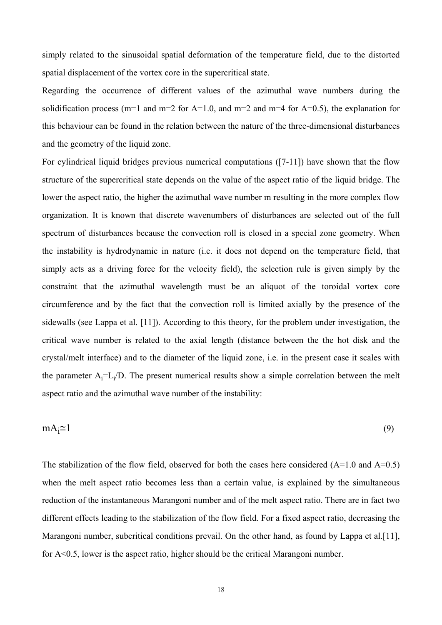simply related to the sinusoidal spatial deformation of the temperature field, due to the distorted spatial displacement of the vortex core in the supercritical state.

Regarding the occurrence of different values of the azimuthal wave numbers during the solidification process (m=1 and m=2 for  $A=1.0$ , and m=2 and m=4 for  $A=0.5$ ), the explanation for this behaviour can be found in the relation between the nature of the three-dimensional disturbances and the geometry of the liquid zone.

For cylindrical liquid bridges previous numerical computations ([7-11]) have shown that the flow structure of the supercritical state depends on the value of the aspect ratio of the liquid bridge. The lower the aspect ratio, the higher the azimuthal wave number m resulting in the more complex flow organization. It is known that discrete wavenumbers of disturbances are selected out of the full spectrum of disturbances because the convection roll is closed in a special zone geometry. When the instability is hydrodynamic in nature (i.e. it does not depend on the temperature field, that simply acts as a driving force for the velocity field), the selection rule is given simply by the constraint that the azimuthal wavelength must be an aliquot of the toroidal vortex core circumference and by the fact that the convection roll is limited axially by the presence of the sidewalls (see Lappa et al. [11]). According to this theory, for the problem under investigation, the critical wave number is related to the axial length (distance between the the hot disk and the crystal/melt interface) and to the diameter of the liquid zone, i.e. in the present case it scales with the parameter  $A_i = L_i/D$ . The present numerical results show a simple correlation between the melt aspect ratio and the azimuthal wave number of the instability:

 $mA_i \approx 1$  (9)

The stabilization of the flow field, observed for both the cases here considered  $(A=1.0 \text{ and } A=0.5)$ when the melt aspect ratio becomes less than a certain value, is explained by the simultaneous reduction of the instantaneous Marangoni number and of the melt aspect ratio. There are in fact two different effects leading to the stabilization of the flow field. For a fixed aspect ratio, decreasing the Marangoni number, subcritical conditions prevail. On the other hand, as found by Lappa et al.[11], for A<0.5, lower is the aspect ratio, higher should be the critical Marangoni number.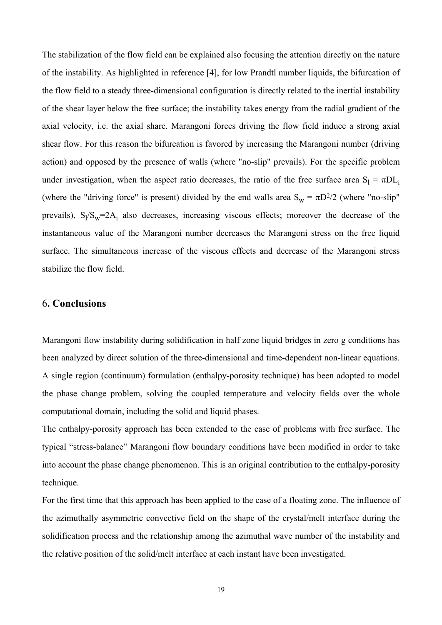The stabilization of the flow field can be explained also focusing the attention directly on the nature of the instability. As highlighted in reference [4], for low Prandtl number liquids, the bifurcation of the flow field to a steady three-dimensional configuration is directly related to the inertial instability of the shear layer below the free surface; the instability takes energy from the radial gradient of the axial velocity, i.e. the axial share. Marangoni forces driving the flow field induce a strong axial shear flow. For this reason the bifurcation is favored by increasing the Marangoni number (driving action) and opposed by the presence of walls (where "no-slip" prevails). For the specific problem under investigation, when the aspect ratio decreases, the ratio of the free surface area  $S_1 = \pi D L_i$ (where the "driving force" is present) divided by the end walls area  $S_w = \pi D^2/2$  (where "no-slip" prevails),  $S_l/S_w=2A_i$  also decreases, increasing viscous effects; moreover the decrease of the instantaneous value of the Marangoni number decreases the Marangoni stress on the free liquid surface. The simultaneous increase of the viscous effects and decrease of the Marangoni stress stabilize the flow field.

### 6**. Conclusions**

Marangoni flow instability during solidification in half zone liquid bridges in zero g conditions has been analyzed by direct solution of the three-dimensional and time-dependent non-linear equations. A single region (continuum) formulation (enthalpy-porosity technique) has been adopted to model the phase change problem, solving the coupled temperature and velocity fields over the whole computational domain, including the solid and liquid phases.

The enthalpy-porosity approach has been extended to the case of problems with free surface. The typical "stress-balance" Marangoni flow boundary conditions have been modified in order to take into account the phase change phenomenon. This is an original contribution to the enthalpy-porosity technique.

For the first time that this approach has been applied to the case of a floating zone. The influence of the azimuthally asymmetric convective field on the shape of the crystal/melt interface during the solidification process and the relationship among the azimuthal wave number of the instability and the relative position of the solid/melt interface at each instant have been investigated.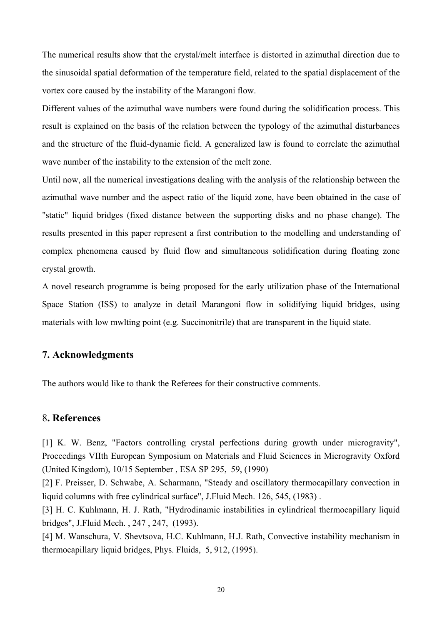The numerical results show that the crystal/melt interface is distorted in azimuthal direction due to the sinusoidal spatial deformation of the temperature field, related to the spatial displacement of the vortex core caused by the instability of the Marangoni flow.

Different values of the azimuthal wave numbers were found during the solidification process. This result is explained on the basis of the relation between the typology of the azimuthal disturbances and the structure of the fluid-dynamic field. A generalized law is found to correlate the azimuthal wave number of the instability to the extension of the melt zone.

Until now, all the numerical investigations dealing with the analysis of the relationship between the azimuthal wave number and the aspect ratio of the liquid zone, have been obtained in the case of "static" liquid bridges (fixed distance between the supporting disks and no phase change). The results presented in this paper represent a first contribution to the modelling and understanding of complex phenomena caused by fluid flow and simultaneous solidification during floating zone crystal growth.

A novel research programme is being proposed for the early utilization phase of the International Space Station (ISS) to analyze in detail Marangoni flow in solidifying liquid bridges, using materials with low mwlting point (e.g. Succinonitrile) that are transparent in the liquid state.

# **7. Acknowledgments**

The authors would like to thank the Referees for their constructive comments.

# 8**. References**

[1] K. W. Benz, "Factors controlling crystal perfections during growth under microgravity", Proceedings VIIth European Symposium on Materials and Fluid Sciences in Microgravity Oxford (United Kingdom), 10/15 September , ESA SP 295, 59, (1990)

[2] F. Preisser, D. Schwabe, A. Scharmann, "Steady and oscillatory thermocapillary convection in liquid columns with free cylindrical surface", J.Fluid Mech. 126, 545, (1983) .

[3] H. C. Kuhlmann, H. J. Rath, "Hydrodinamic instabilities in cylindrical thermocapillary liquid bridges", J.Fluid Mech. , 247 , 247, (1993).

[4] M. Wanschura, V. Shevtsova, H.C. Kuhlmann, H.J. Rath, Convective instability mechanism in thermocapillary liquid bridges, Phys. Fluids, 5, 912, (1995).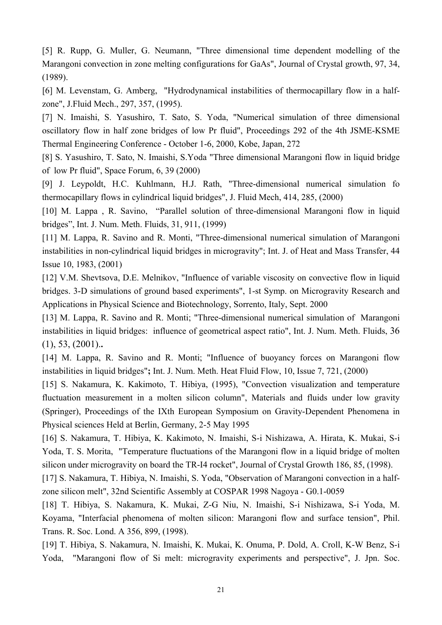[5] R. Rupp, G. Muller, G. Neumann, "Three dimensional time dependent modelling of the Marangoni convection in zone melting configurations for GaAs", Journal of Crystal growth, 97, 34, (1989).

[6] M. Levenstam, G. Amberg, "Hydrodynamical instabilities of thermocapillary flow in a halfzone", J.Fluid Mech., 297, 357, (1995).

[7] N. Imaishi, S. Yasushiro, T. Sato, S. Yoda, "Numerical simulation of three dimensional oscillatory flow in half zone bridges of low Pr fluid", Proceedings 292 of the 4th JSME-KSME Thermal Engineering Conference - October 1-6, 2000, Kobe, Japan, 272

[8] S. Yasushiro, T. Sato, N. Imaishi, S.Yoda "Three dimensional Marangoni flow in liquid bridge of low Pr fluid", Space Forum, 6, 39 (2000)

[9] J. Leypoldt, H.C. Kuhlmann, H.J. Rath, "Three-dimensional numerical simulation fo thermocapillary flows in cylindrical liquid bridges", J. Fluid Mech, 414, 285, (2000)

[10] M. Lappa , R. Savino, "Parallel solution of three-dimensional Marangoni flow in liquid bridges", Int. J. Num. Meth. Fluids, 31, 911, (1999)

[11] M. Lappa, R. Savino and R. Monti, "Three-dimensional numerical simulation of Marangoni instabilities in non-cylindrical liquid bridges in microgravity"; Int. J. of Heat and Mass Transfer, 44 Issue 10, 1983, (2001)

[12] V.M. Shevtsova, D.E. Melnikov, "Influence of variable viscosity on convective flow in liquid bridges. 3-D simulations of ground based experiments", 1-st Symp. on Microgravity Research and Applications in Physical Science and Biotechnology, Sorrento, Italy, Sept. 2000

[13] M. Lappa, R. Savino and R. Monti; "Three-dimensional numerical simulation of Marangoni instabilities in liquid bridges: influence of geometrical aspect ratio", Int. J. Num. Meth. Fluids, 36 (1), 53, (2001).**.**

[14] M. Lappa, R. Savino and R. Monti; "Influence of buoyancy forces on Marangoni flow instabilities in liquid bridges"**;** Int. J. Num. Meth. Heat Fluid Flow, 10, Issue 7, 721, (2000)

[15] S. Nakamura, K. Kakimoto, T. Hibiya, (1995), "Convection visualization and temperature fluctuation measurement in a molten silicon column", Materials and fluids under low gravity (Springer), Proceedings of the IXth European Symposium on Gravity-Dependent Phenomena in Physical sciences Held at Berlin, Germany, 2-5 May 1995

[16] S. Nakamura, T. Hibiya, K. Kakimoto, N. Imaishi, S-i Nishizawa, A. Hirata, K. Mukai, S-i Yoda, T. S. Morita, "Temperature fluctuations of the Marangoni flow in a liquid bridge of molten silicon under microgravity on board the TR-I4 rocket", Journal of Crystal Growth 186, 85, (1998).

[17] S. Nakamura, T. Hibiya, N. Imaishi, S. Yoda, "Observation of Marangoni convection in a halfzone silicon melt", 32nd Scientific Assembly at COSPAR 1998 Nagoya - G0.1-0059

[18] T. Hibiya, S. Nakamura, K. Mukai, Z-G Niu, N. Imaishi, S-i Nishizawa, S-i Yoda, M. Koyama, "Interfacial phenomena of molten silicon: Marangoni flow and surface tension", Phil. Trans. R. Soc. Lond. A 356, 899, (1998).

[19] T. Hibiya, S. Nakamura, N. Imaishi, K. Mukai, K. Onuma, P. Dold, A. Croll, K-W Benz, S-i Yoda, "Marangoni flow of Si melt: microgravity experiments and perspective", J. Jpn. Soc.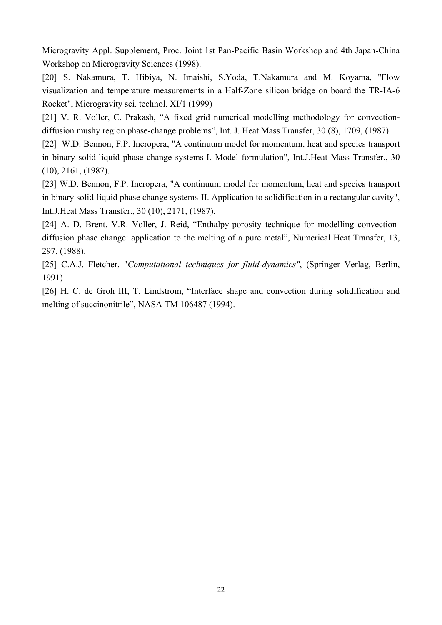Microgravity Appl. Supplement, Proc. Joint 1st Pan-Pacific Basin Workshop and 4th Japan-China Workshop on Microgravity Sciences (1998).

[20] S. Nakamura, T. Hibiya, N. Imaishi, S.Yoda, T.Nakamura and M. Koyama, "Flow visualization and temperature measurements in a Half-Zone silicon bridge on board the TR-IA-6 Rocket", Microgravity sci. technol. XI/1 (1999)

[21] V. R. Voller, C. Prakash, "A fixed grid numerical modelling methodology for convectiondiffusion mushy region phase-change problems", Int. J. Heat Mass Transfer, 30 (8), 1709, (1987).

[22] W.D. Bennon, F.P. Incropera, "A continuum model for momentum, heat and species transport in binary solid-liquid phase change systems-I. Model formulation", Int.J.Heat Mass Transfer., 30 (10), 2161, (1987).

[23] W.D. Bennon, F.P. Incropera, "A continuum model for momentum, heat and species transport in binary solid-liquid phase change systems-II. Application to solidification in a rectangular cavity", Int.J.Heat Mass Transfer., 30 (10), 2171, (1987).

[24] A. D. Brent, V.R. Voller, J. Reid, "Enthalpy-porosity technique for modelling convectiondiffusion phase change: application to the melting of a pure metal", Numerical Heat Transfer, 13, 297, (1988).

[25] C.A.J. Fletcher, "*Computational techniques for fluid-dynamics"*, (Springer Verlag, Berlin, 1991)

[26] H. C. de Groh III, T. Lindstrom, "Interface shape and convection during solidification and melting of succinonitrile", NASA TM 106487 (1994).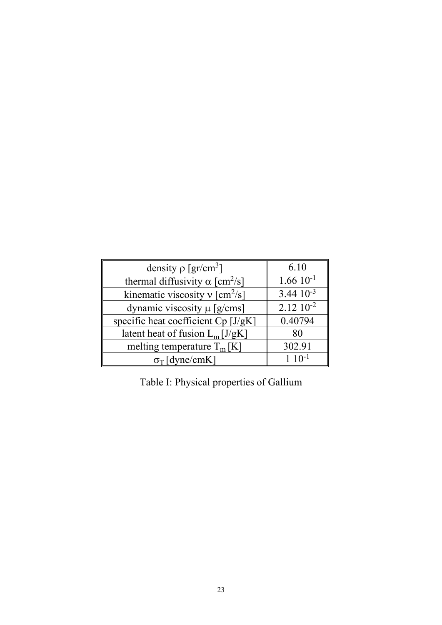| density $\rho$ [gr/cm <sup>3</sup> ]              | 6.10                 |
|---------------------------------------------------|----------------------|
| thermal diffusivity $\alpha$ [cm <sup>2</sup> /s] | $1.66 \; 10^{-1}$    |
| kinematic viscosity $v$ [cm <sup>2</sup> /s]      | $3.44 \cdot 10^{-3}$ |
| dynamic viscosity $\mu$ [g/cms]                   | $2.12 \cdot 10^{-2}$ |
| specific heat coefficient $Cp$ [J/gK]             | 0.40794              |
| latent heat of fusion $L_m$ [J/gK]                | 80                   |
| melting temperature $T_m[K]$                      | 302.91               |
| $\sigma$ <sub>T</sub> [dyne/cmK]                  | $1 \; 10^{-1}$       |

Table I: Physical properties of Gallium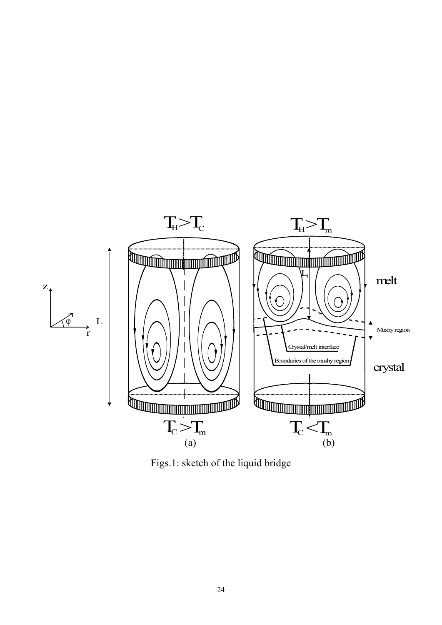

Figs.1: sketch of the liquid bridge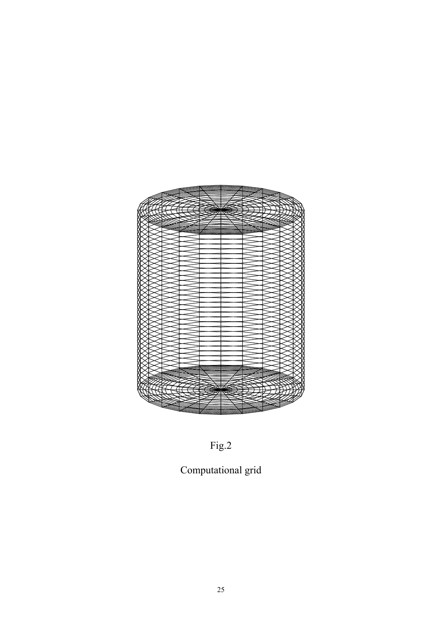



Computational grid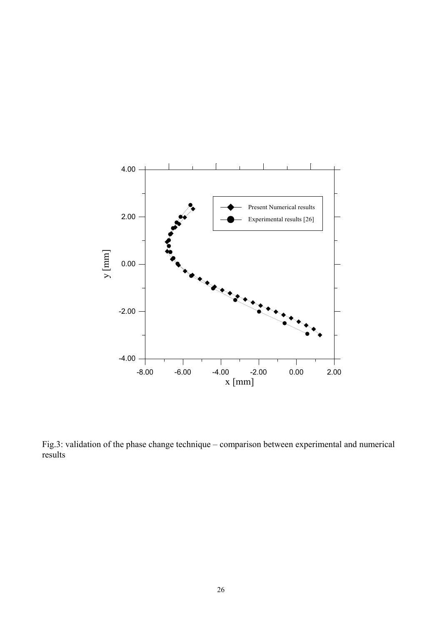

Fig.3: validation of the phase change technique – comparison between experimental and numerical results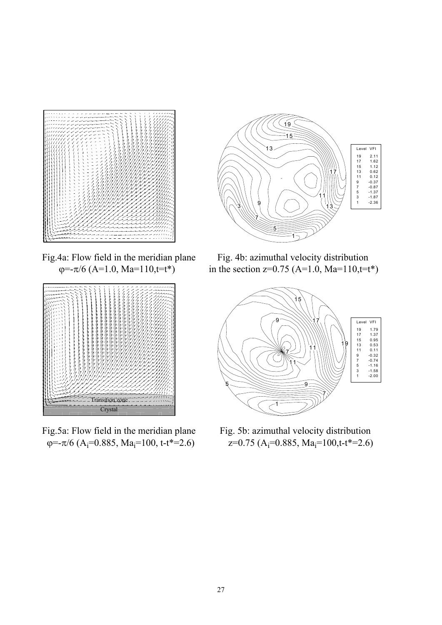

Fig.4a: Flow field in the meridian plane Fig. 4b: azimuthal velocity distribution



Fig.5a: Flow field in the meridian plane Fig. 5b: azimuthal velocity distribution  $\varphi = -\pi/6$  (A<sub>i</sub>=0.885, Ma<sub>i</sub>=100, t-t\*=2.6) z=0.75 (A<sub>i</sub>



 $\varphi = -\pi/6$  (A=1.0, Ma=110,t=t\*) in the section z=0.75 (A=1.0, Ma=110,t=t\*)



 $=0.885$ , Ma<sub>i</sub> $=100$ ,t-t\* $=2.6$ )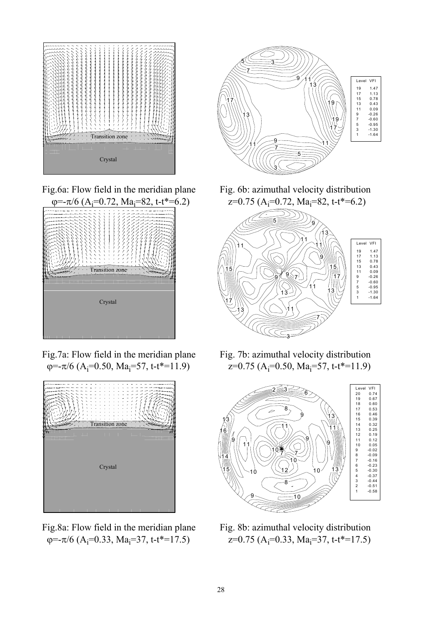

Fig.6a: Flow field in the meridian plane Fig. 6b: azimuthal velocity distribution



Fig.7a: Flow field in the meridian plane Fig. 7b: azimuthal velocity distribution  $\varphi = -\pi/6$  (A<sub>i</sub>=0.50, Ma<sub>i</sub>=57, t-t\*=11.9) z=0.75 (A<sub>i</sub>



Fig.8a: Flow field in the meridian plane Fig. 8b: azimuthal velocity distribution  $\varphi = -\pi/6$  (A<sub>i</sub>=0.33, Ma<sub>i</sub>=37, t-t\*=17.5) z=0.75 (A<sub>i</sub>



 $=0.72$ , Ma<sub>i</sub> $=82$ , t-t\* $=6.2$ )



 $=0.50$ , Ma<sub>i</sub> $=57$ , t-t\* $=11.9$ )



 $=0.33$ , Ma<sub>i</sub> $=37$ , t-t\* $=17.5$ )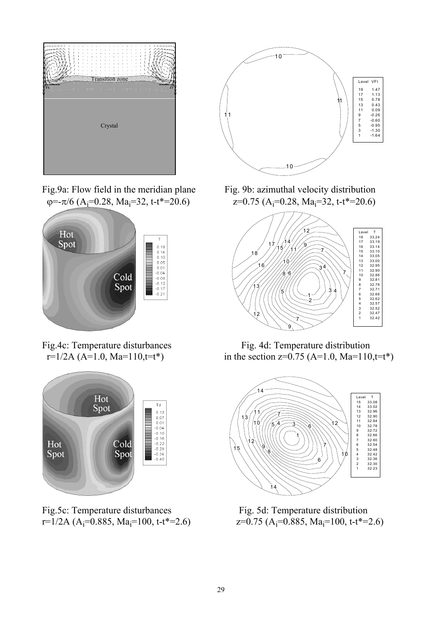

Fig.9a: Flow field in the meridian plane Fig. 9b: azimuthal velocity distribution  $\varphi = -\pi/6$  (A<sub>i</sub>=0.28, Ma<sub>i</sub>=32, t-t\*=20.6) z=0.75 (A<sub>i</sub>









 $=0.28$ , Ma<sub>i</sub> $=32$ , t-t\* $=20.6$ )



Fig.4c: Temperature disturbances Fig. 4d: Temperature distribution r=1/2A (A=1.0, Ma=110,t=t\*) in the section z=0.75 (A=1.0, Ma=110,t=t\*)



 $=0.885$ , Ma<sub>i</sub> $=100$ , t-t\* $=2.6$ )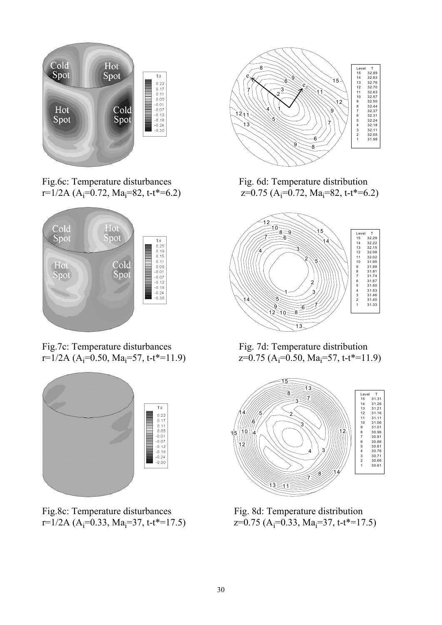

Fig.6c: Temperature disturbances Fig. 6d: Temperature distribution  $r=1/2A (A_i=0.72, Ma_i=82, t-t*=6.2)$  z=0.75 (A<sub>i</sub>



Fig. 7c: Temperature disturbances Fig. 7d: Temperature distribution r=1/2A (A<sub>i</sub>=0.50, Ma<sub>i</sub>=57, t-t\*=11.9)  $z=0.75$  (A<sub>i</sub>



Fig.8c: Temperature disturbances Fig. 8d: Temperature distribution  $r=1/2A (A_i=0.33, Ma_i=37, t-t*=17.5)$  z=0.75 (A<sub>i</sub>



 $=0.72$ , Ma<sub>i</sub> $=82$ , t-t\* $=6.2$ )



 $=0.50$ , Ma<sub>i</sub> $=57$ , t-t\* $=11.9$ )



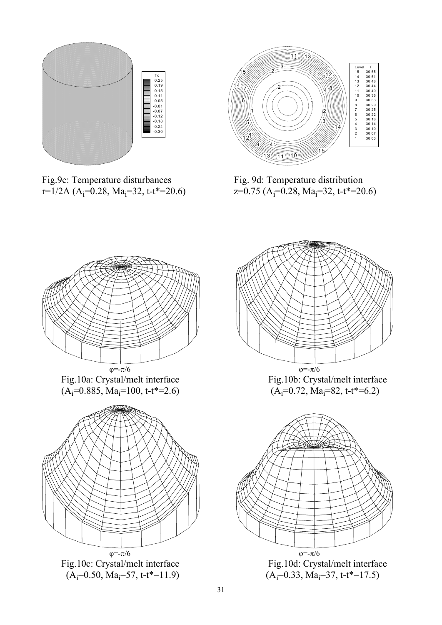

Fig.9c: Temperature disturbances Fig. 9d: Temperature distribution  $r=1/2A (A_i=0.28, Ma_i=32, t-t*=20.6)$  z=0.75 (A<sub>i</sub>



 $=0.28$ , Ma<sub>i</sub> $=32$ , t-t\* $=20.6$ )





 $=0.72$ , Ma<sub>i</sub> $=82$ , t-t<sup>\*</sup> $=6.2$ )

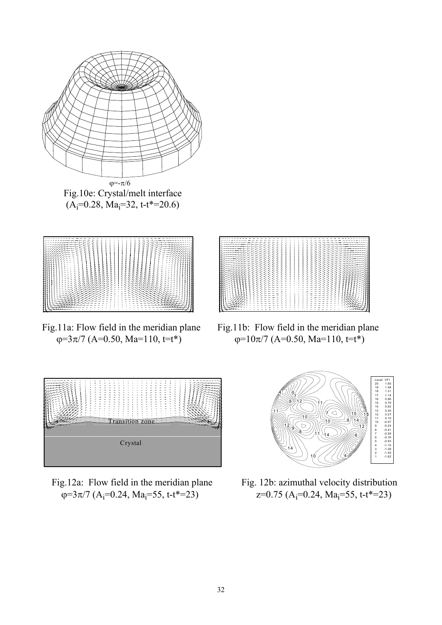



Fig.11a: Flow field in the meridian plane Fig.11b: Flow field in the meridian plane



 $\varphi = 3\pi/7$  (A=0.50, Ma=110, t=t\*)  $\varphi = 10\pi/7$  (A=0.50, Ma=110, t=t\*)



Fig. 12a: Flow field in the meridian plane Fig. 12b: azimuthal velocity distribution  $\varphi$ =3 $\pi$ /7 (A<sub>i</sub>=0.24, Ma<sub>i</sub>=55, t-t\*=23) z=0.75 (A<sub>i</sub>



 $=0.24$ , Ma<sub>i</sub> $=55$ , t-t\* $=23$ )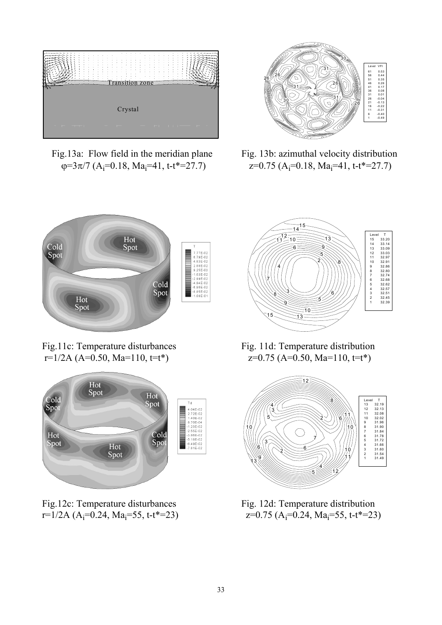

Fig.13a: Flow field in the meridian plane Fig. 13b: azimuthal velocity distribution  $\varphi$ =3 $\pi$ /7 (A<sub>i</sub>=0.18, Ma<sub>i</sub>=41, t-t\*=27.7) z=0.75 (A<sub>i</sub>



 $=0.18$ , Ma<sub>i</sub> $=41$ , t-t\* $=27.7$ )



Fig.11c: Temperature disturbances Fig. 11d: Temperature distribution r=1/2A (A=0.50, Ma=110, t=t\*)  $z=0.75$  (A=0.50, Ma=110, t=t\*)



Fig. 12c: Temperature disturbances Fig. 12d: Temperature distribution  $r=1/2A (A_i=0.24, Ma_i=55, t-t*=23)$  z=0.75 (A<sub>i</sub>





 $=0.24$ , Ma<sub>i</sub> $=55$ , t-t\* $=23$ )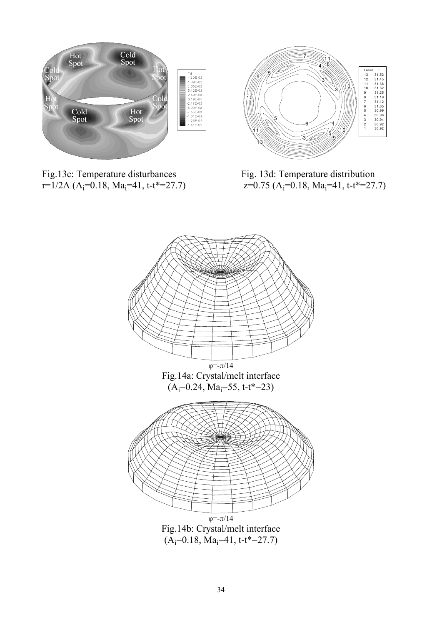